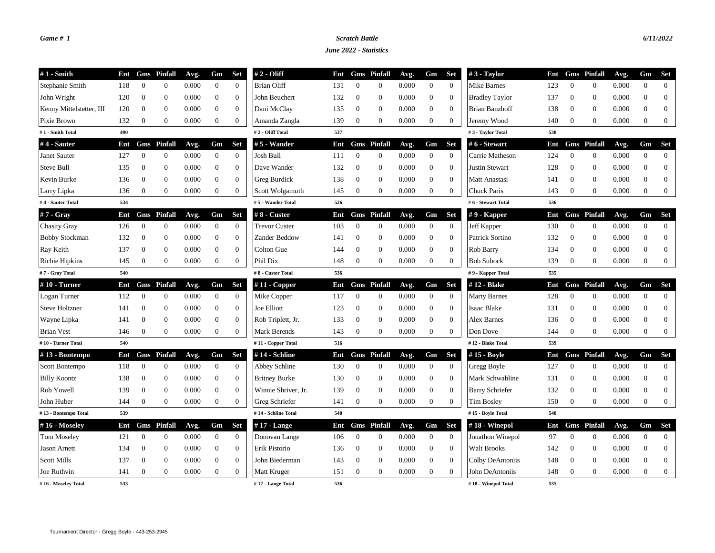## *Game # 1 Scratch Battle 6/11/2022*

## *June 2022 - Statistics*

| $#1$ - Smith             | Ent |                | <b>Gms</b> Pinfall | Avg.  | Gm               | <b>Set</b>       | $# 2 - Oliff$        | Ent |                | Gms Pinfall        | Avg.  | Gm               | <b>Set</b>       | $#3$ - Taylor          |     |                | Ent Gms Pinfall    | Avg.  | Gm               | Set              |
|--------------------------|-----|----------------|--------------------|-------|------------------|------------------|----------------------|-----|----------------|--------------------|-------|------------------|------------------|------------------------|-----|----------------|--------------------|-------|------------------|------------------|
| Stephanie Smith          | 118 | $\theta$       | $\mathbf{0}$       | 0.000 | $\overline{0}$   | $\mathbf{0}$     | <b>Brian Oliff</b>   | 131 | $\theta$       | $\mathbf{0}$       | 0.000 | $\overline{0}$   | $\mathbf{0}$     | Mike Barnes            | 123 | $\theta$       | $\mathbf{0}$       | 0.000 | $\mathbf{0}$     | $\overline{0}$   |
| John Wright              | 120 | $\theta$       | $\mathbf{0}$       | 0.000 | $\mathbf{0}$     | $\overline{0}$   | John Beuchert        | 132 | $\overline{0}$ | $\overline{0}$     | 0.000 | $\boldsymbol{0}$ | $\theta$         | <b>Bradley Taylor</b>  | 137 | $\overline{0}$ | $\overline{0}$     | 0.000 | $\overline{0}$   | $\mathbf{0}$     |
| Kenny Mittelstetter, III | 120 | $\theta$       | $\mathbf{0}$       | 0.000 | $\boldsymbol{0}$ | $\boldsymbol{0}$ | Dani McClay          | 135 | $\bf{0}$       | $\mathbf{0}$       | 0.000 | $\mathbf{0}$     | $\mathbf{0}$     | <b>Brian Banzhoff</b>  | 138 | $\overline{0}$ | $\overline{0}$     | 0.000 | $\overline{0}$   | $\mathbf{0}$     |
| Pixie Brown              | 132 | $\overline{0}$ | $\boldsymbol{0}$   | 0.000 | $\boldsymbol{0}$ | $\boldsymbol{0}$ | Amanda Zangla        | 139 | $\bf{0}$       | $\overline{0}$     | 0.000 | $\mathbf{0}$     | $\theta$         | Jeremy Wood            | 140 | $\mathbf{0}$   | $\Omega$           | 0.000 | $\overline{0}$   | $\overline{0}$   |
| #1 - Smith Total         | 490 |                |                    |       |                  |                  | #2 - Oliff Total     | 537 |                |                    |       |                  |                  | #3 - Taylor Total      | 538 |                |                    |       |                  |                  |
| #4 - Sauter              | Ent |                | <b>Gms</b> Pinfall | Avg.  | Gm               | <b>Set</b>       | $# 5$ - Wander       | Ent |                | <b>Gms</b> Pinfall | Avg.  | Gm               | <b>Set</b>       | # 6 - Stewart          | Ent |                | <b>Gms</b> Pinfall | Avg.  | Gm               | <b>Set</b>       |
| Janet Sauter             | 127 | $\overline{0}$ | $\mathbf{0}$       | 0.000 | $\overline{0}$   | $\overline{0}$   | Josh Bull            | 111 | $\mathbf{0}$   | $\overline{0}$     | 0.000 | $\overline{0}$   | $\theta$         | Carrie Matheson        | 124 | $\theta$       | $\overline{0}$     | 0.000 | $\overline{0}$   | $\overline{0}$   |
| Steve Bull               | 135 | $\overline{0}$ | $\boldsymbol{0}$   | 0.000 | $\boldsymbol{0}$ | $\mathbf{0}$     | Dave Wander          | 132 | $\bf{0}$       | $\mathbf{0}$       | 0.000 | $\boldsymbol{0}$ | $\mathbf{0}$     | <b>Justin Stewart</b>  | 128 | $\mathbf{0}$   | $\mathbf{0}$       | 0.000 | $\boldsymbol{0}$ | $\theta$         |
| Kevin Burke              | 136 | $\mathbf{0}$   | $\mathbf{0}$       | 0.000 | $\boldsymbol{0}$ | $\boldsymbol{0}$ | Greg Burdick         | 138 | $\mathbf{0}$   | $\boldsymbol{0}$   | 0.000 | $\boldsymbol{0}$ | $\mathbf{0}$     | Matt Anastasi          | 141 | $\overline{0}$ | $\overline{0}$     | 0.000 | $\overline{0}$   | $\theta$         |
| Larry Lipka              | 136 | $\overline{0}$ | $\mathbf{0}$       | 0.000 | $\boldsymbol{0}$ | $\overline{0}$   | Scott Wolgamuth      | 145 | $\mathbf{0}$   | $\Omega$           | 0.000 | $\overline{0}$   | $\Omega$         | Chuck Paris            | 143 | $\mathbf{0}$   | $\Omega$           | 0.000 | $\overline{0}$   | $\boldsymbol{0}$ |
| #4 - Sauter Total        | 534 |                |                    |       |                  |                  | #5 - Wander Total    | 526 |                |                    |       |                  |                  | #6 - Stewart Total     | 536 |                |                    |       |                  |                  |
| #7 - Gray                | Ent |                | <b>Gms</b> Pinfall | Avg.  | Gm               | <b>Set</b>       | $#8$ - Custer        | Ent |                | <b>Gms</b> Pinfall | Avg.  | Gm               | <b>Set</b>       | $# 9$ - Kapper         | Ent |                | <b>Gms</b> Pinfall | Avg.  | Gm               | <b>Set</b>       |
| <b>Chasity Gray</b>      | 126 | $\overline{0}$ | $\mathbf{0}$       | 0.000 | $\overline{0}$   | $\overline{0}$   | <b>Trevor Custer</b> | 103 | $\overline{0}$ | $\overline{0}$     | 0.000 | $\mathbf{0}$     | $\theta$         | Jeff Kapper            | 130 | $\theta$       | $\overline{0}$     | 0.000 | $\mathbf{0}$     | $\overline{0}$   |
| <b>Bobby Stockman</b>    | 132 | $\mathbf{0}$   | $\boldsymbol{0}$   | 0.000 | $\boldsymbol{0}$ | $\mathbf{0}$     | Zander Beddow        | 141 | $\bf{0}$       | $\mathbf{0}$       | 0.000 | $\boldsymbol{0}$ | $\boldsymbol{0}$ | Patrick Sortino        | 132 | $\mathbf{0}$   | $\overline{0}$     | 0.000 | $\overline{0}$   | $\mathbf{0}$     |
| Ray Keith                | 137 | $\overline{0}$ | $\overline{0}$     | 0.000 | $\boldsymbol{0}$ | $\mathbf{0}$     | Colton Gue           | 144 | $\overline{0}$ | $\mathbf{0}$       | 0.000 | $\mathbf{0}$     | $\mathbf{0}$     | Rob Barry              | 134 | $\theta$       | $\overline{0}$     | 0.000 | $\overline{0}$   | $\theta$         |
| <b>Richie Hipkins</b>    | 145 | $\mathbf{0}$   | $\mathbf{0}$       | 0.000 | $\boldsymbol{0}$ | $\overline{0}$   | Phil Dix             | 148 | $\bf{0}$       | $\theta$           | 0.000 | $\overline{0}$   | $\theta$         | <b>Bob Subock</b>      | 139 | $\mathbf{0}$   | $\Omega$           | 0.000 | $\overline{0}$   | $\boldsymbol{0}$ |
| #7 - Gray Total          | 540 |                |                    |       |                  |                  | #8 - Custer Total    | 536 |                |                    |       |                  |                  | #9 - Kapper Total      | 535 |                |                    |       |                  |                  |
| $#10$ - Turner           | Ent |                | <b>Gms</b> Pinfall | Avg.  | Gm               | <b>Set</b>       | $#11 - Copper$       | Ent |                | <b>Gms</b> Pinfall | Avg.  | Gm               | <b>Set</b>       | #12 - Blake            | Ent |                | <b>Gms</b> Pinfall | Avg.  | Gm               | <b>Set</b>       |
| Logan Turner             | 112 | $\overline{0}$ | $\mathbf{0}$       | 0.000 | $\overline{0}$   | $\overline{0}$   | Mike Copper          | 117 | $\overline{0}$ | $\boldsymbol{0}$   | 0.000 | $\overline{0}$   | $\theta$         | <b>Marty Barnes</b>    | 128 | $\theta$       | $\overline{0}$     | 0.000 | $\overline{0}$   | $\theta$         |
| <b>Steve Holtzner</b>    | 141 | $\overline{0}$ | $\mathbf{0}$       | 0.000 | $\boldsymbol{0}$ | $\mathbf{0}$     | <b>Joe Elliott</b>   | 123 | $\mathbf{0}$   | $\mathbf{0}$       | 0.000 | $\mathbf{0}$     | $\mathbf{0}$     | <b>Isaac Blake</b>     | 131 | $\mathbf{0}$   | $\mathbf{0}$       | 0.000 | $\overline{0}$   | $\theta$         |
| Wayne Lipka              | 141 | $\overline{0}$ | $\theta$           | 0.000 | $\theta$         | $\overline{0}$   | Rob Triplett, Jr.    | 133 | $\overline{0}$ | $\theta$           | 0.000 | $\boldsymbol{0}$ | $\theta$         | <b>Alex Barnes</b>     | 136 | $\theta$       | $\overline{0}$     | 0.000 | $\Omega$         | $\theta$         |
| <b>Brian Vest</b>        | 146 | $\overline{0}$ | $\mathbf{0}$       | 0.000 | $\boldsymbol{0}$ | $\boldsymbol{0}$ | <b>Mark Berends</b>  | 143 | $\mathbf{0}$   | $\theta$           | 0.000 | $\boldsymbol{0}$ | $\theta$         | Don Dove               | 144 | $\mathbf{0}$   | $\overline{0}$     | 0.000 | $\overline{0}$   | $\mathbf{0}$     |
| #10 - Turner Total       | 540 |                |                    |       |                  |                  | #11 - Copper Total   | 516 |                |                    |       |                  |                  | #12 - Blake Total      | 539 |                |                    |       |                  |                  |
| #13 - Bontempo           | Ent |                | <b>Gms</b> Pinfall | Avg.  | Gm               | <b>Set</b>       | #14 - Schline        | Ent |                | <b>Gms</b> Pinfall | Avg.  | Gm               | <b>Set</b>       | #15 - Boyle            | Ent |                | <b>Gms</b> Pinfall | Avg.  | Gm               | <b>Set</b>       |
| Scott Bontempo           | 118 | $\overline{0}$ | $\boldsymbol{0}$   | 0.000 | $\mathbf{0}$     | $\mathbf{0}$     | Abbey Schline        | 130 | $\mathbf{0}$   | $\mathbf{0}$       | 0.000 | $\mathbf{0}$     | $\mathbf{0}$     | Gregg Boyle            | 127 | $\bf{0}$       | $\overline{0}$     | 0.000 | $\boldsymbol{0}$ | $\theta$         |
| <b>Billy Koontz</b>      | 138 | $\mathbf{0}$   | $\mathbf{0}$       | 0.000 | $\boldsymbol{0}$ | $\mathbf{0}$     | <b>Britney Burke</b> | 130 | $\mathbf{0}$   | $\mathbf{0}$       | 0.000 | $\mathbf{0}$     | $\theta$         | Mark Schwabline        | 131 | $\overline{0}$ | $\overline{0}$     | 0.000 | $\overline{0}$   | $\mathbf{0}$     |
| Rob Yowell               | 139 | $\theta$       | $\mathbf{0}$       | 0.000 | $\overline{0}$   | $\mathbf{0}$     | Winnie Shriver, Jr.  | 139 | $\overline{0}$ | $\theta$           | 0.000 | $\boldsymbol{0}$ | $\overline{0}$   | <b>Barry Schriefer</b> | 132 | $\overline{0}$ | $\Omega$           | 0.000 | $\Omega$         | $\mathbf{0}$     |
| John Huber               | 144 | $\mathbf{0}$   | $\boldsymbol{0}$   | 0.000 | $\boldsymbol{0}$ | $\mathbf{0}$     | Greg Schriefer       | 141 | $\bf{0}$       | $\mathbf{0}$       | 0.000 | $\mathbf{0}$     | $\theta$         | <b>Tim Bosley</b>      | 150 | $\mathbf{0}$   | $\overline{0}$     | 0.000 | $\boldsymbol{0}$ | $\mathbf{0}$     |
| #13 - Bontempo Total     | 539 |                |                    |       |                  |                  | #14 - Schline Total  | 540 |                |                    |       |                  |                  | #15 - Boyle Total      | 540 |                |                    |       |                  |                  |
| #16 - Moselev            | Ent |                | <b>Gms</b> Pinfall | Avg.  | Gm               | <b>Set</b>       | $#17$ - Lange        | Ent |                | <b>Gms</b> Pinfall | Avg.  | Gm               | <b>Set</b>       | $#18$ - Winepol        | Ent |                | <b>Gms</b> Pinfall | Avg.  | Gm               | Set              |
| <b>Tom Moseley</b>       | 121 | $\mathbf{0}$   | $\boldsymbol{0}$   | 0.000 | $\mathbf{0}$     | $\mathbf{0}$     | Donovan Lange        | 106 | $\mathbf{0}$   | $\boldsymbol{0}$   | 0.000 | $\mathbf{0}$     | $\boldsymbol{0}$ | Jonathon Winepol       | 97  | $\mathbf{0}$   | $\mathbf{0}$       | 0.000 | $\mathbf{0}$     | $\theta$         |
| <b>Jason Arnett</b>      | 134 | $\bf{0}$       | $\mathbf{0}$       | 0.000 | $\boldsymbol{0}$ | $\mathbf{0}$     | Erik Pistorio        | 136 | $\bf{0}$       | $\mathbf{0}$       | 0.000 | $\boldsymbol{0}$ | $\mathbf{0}$     | Walt Brooks            | 142 | $\theta$       | $\overline{0}$     | 0.000 | $\overline{0}$   | $\theta$         |
| <b>Scott Mills</b>       | 137 | $\overline{0}$ | $\mathbf{0}$       | 0.000 | $\mathbf{0}$     | $\overline{0}$   | John Biederman       | 143 | $\overline{0}$ | $\theta$           | 0.000 | $\mathbf{0}$     | $\overline{0}$   | Colby DeAntoniis       | 148 | $\theta$       | $\overline{0}$     | 0.000 | $\Omega$         | $\mathbf{0}$     |
| Joe Ruthvin              | 141 | $\mathbf{0}$   | $\mathbf{0}$       | 0.000 | $\overline{0}$   | $\boldsymbol{0}$ | Matt Kruger          | 151 | $\mathbf{0}$   | $\mathbf{0}$       | 0.000 | $\boldsymbol{0}$ | $\theta$         | John DeAntoniis        | 148 | $\theta$       | $\overline{0}$     | 0.000 | $\boldsymbol{0}$ | $\overline{0}$   |
| #16 - Moseley Total      | 533 |                |                    |       |                  |                  | #17 - Lange Total    | 536 |                |                    |       |                  |                  | #18 - Winepol Total    | 535 |                |                    |       |                  |                  |